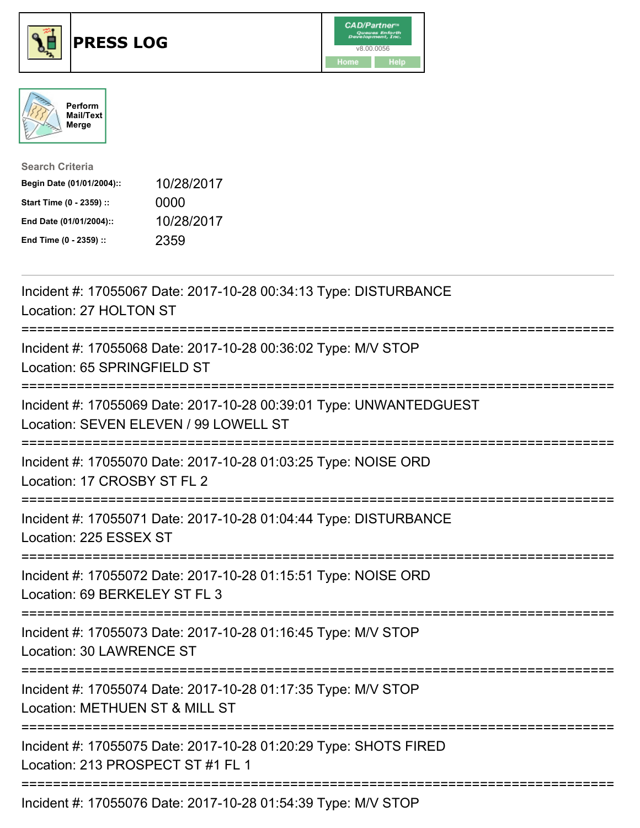





| <b>Search Criteria</b>    |            |
|---------------------------|------------|
| Begin Date (01/01/2004):: | 10/28/2017 |
| Start Time (0 - 2359) ::  | 0000       |
| End Date (01/01/2004)::   | 10/28/2017 |
| End Time (0 - 2359) ::    | 2359       |

| Incident #: 17055067 Date: 2017-10-28 00:34:13 Type: DISTURBANCE<br>Location: 27 HOLTON ST                        |
|-------------------------------------------------------------------------------------------------------------------|
| Incident #: 17055068 Date: 2017-10-28 00:36:02 Type: M/V STOP<br>Location: 65 SPRINGFIELD ST<br>=========         |
| Incident #: 17055069 Date: 2017-10-28 00:39:01 Type: UNWANTEDGUEST<br>Location: SEVEN ELEVEN / 99 LOWELL ST       |
| Incident #: 17055070 Date: 2017-10-28 01:03:25 Type: NOISE ORD<br>Location: 17 CROSBY ST FL 2<br>:=============== |
| Incident #: 17055071 Date: 2017-10-28 01:04:44 Type: DISTURBANCE<br>Location: 225 ESSEX ST<br>================    |
| Incident #: 17055072 Date: 2017-10-28 01:15:51 Type: NOISE ORD<br>Location: 69 BERKELEY ST FL 3<br>-------------- |
| Incident #: 17055073 Date: 2017-10-28 01:16:45 Type: M/V STOP<br>Location: 30 LAWRENCE ST                         |
| Incident #: 17055074 Date: 2017-10-28 01:17:35 Type: M/V STOP<br>Location: METHUEN ST & MILL ST                   |
| Incident #: 17055075 Date: 2017-10-28 01:20:29 Type: SHOTS FIRED<br>Location: 213 PROSPECT ST #1 FL 1             |
| ===============<br>Incident #: 17055076 Date: 2017-10-28 01:54:39 Type: M/V STOP                                  |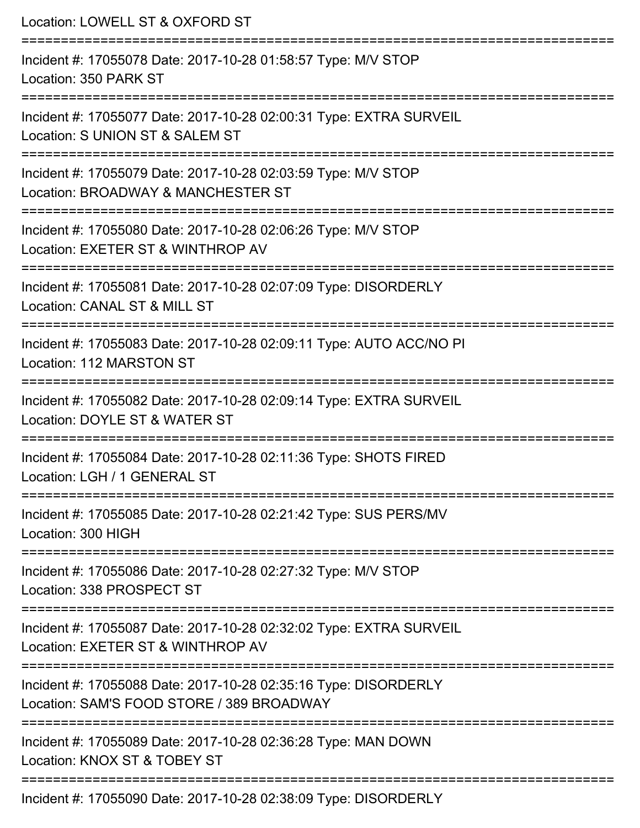| Location: LOWELL ST & OXFORD ST<br>=======================                                                                                   |
|----------------------------------------------------------------------------------------------------------------------------------------------|
| Incident #: 17055078 Date: 2017-10-28 01:58:57 Type: M/V STOP<br>Location: 350 PARK ST                                                       |
| Incident #: 17055077 Date: 2017-10-28 02:00:31 Type: EXTRA SURVEIL<br>Location: S UNION ST & SALEM ST<br>=================================== |
| Incident #: 17055079 Date: 2017-10-28 02:03:59 Type: M/V STOP<br>Location: BROADWAY & MANCHESTER ST<br>:===========================          |
| Incident #: 17055080 Date: 2017-10-28 02:06:26 Type: M/V STOP<br>Location: EXETER ST & WINTHROP AV                                           |
| Incident #: 17055081 Date: 2017-10-28 02:07:09 Type: DISORDERLY<br>Location: CANAL ST & MILL ST                                              |
| Incident #: 17055083 Date: 2017-10-28 02:09:11 Type: AUTO ACC/NO PI<br>Location: 112 MARSTON ST                                              |
| Incident #: 17055082 Date: 2017-10-28 02:09:14 Type: EXTRA SURVEIL<br>Location: DOYLE ST & WATER ST                                          |
| Incident #: 17055084 Date: 2017-10-28 02:11:36 Type: SHOTS FIRED<br>Location: LGH / 1 GENERAL ST                                             |
| Incident #: 17055085 Date: 2017-10-28 02:21:42 Type: SUS PERS/MV<br>Location: 300 HIGH                                                       |
| Incident #: 17055086 Date: 2017-10-28 02:27:32 Type: M/V STOP<br>Location: 338 PROSPECT ST                                                   |
| Incident #: 17055087 Date: 2017-10-28 02:32:02 Type: EXTRA SURVEIL<br>Location: EXETER ST & WINTHROP AV                                      |
| Incident #: 17055088 Date: 2017-10-28 02:35:16 Type: DISORDERLY<br>Location: SAM'S FOOD STORE / 389 BROADWAY                                 |
| Incident #: 17055089 Date: 2017-10-28 02:36:28 Type: MAN DOWN<br>Location: KNOX ST & TOBEY ST                                                |
| Incident #: 17055090 Date: 2017-10-28 02:38:09 Type: DISORDERLY                                                                              |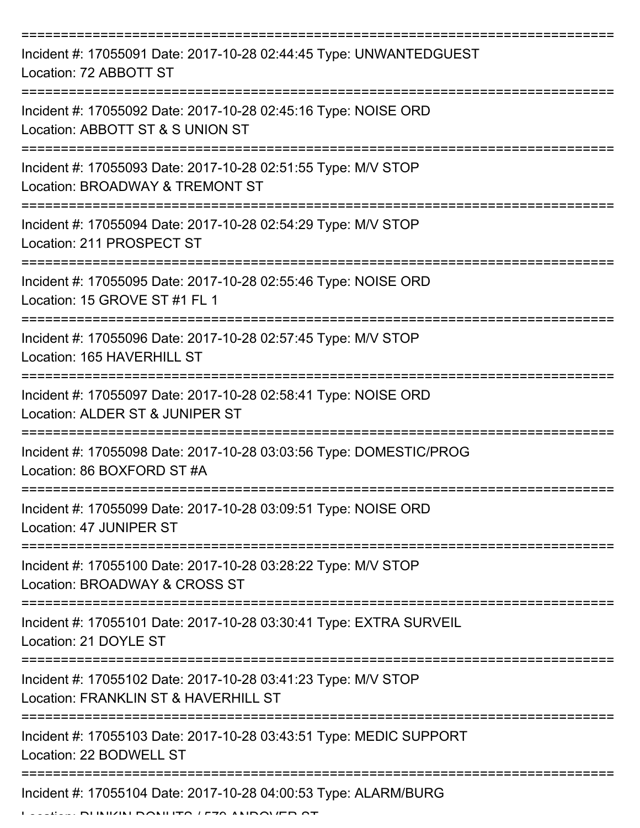| Incident #: 17055091 Date: 2017-10-28 02:44:45 Type: UNWANTEDGUEST<br>Location: 72 ABBOTT ST          |
|-------------------------------------------------------------------------------------------------------|
| Incident #: 17055092 Date: 2017-10-28 02:45:16 Type: NOISE ORD<br>Location: ABBOTT ST & S UNION ST    |
| Incident #: 17055093 Date: 2017-10-28 02:51:55 Type: M/V STOP<br>Location: BROADWAY & TREMONT ST      |
| Incident #: 17055094 Date: 2017-10-28 02:54:29 Type: M/V STOP<br>Location: 211 PROSPECT ST            |
| Incident #: 17055095 Date: 2017-10-28 02:55:46 Type: NOISE ORD<br>Location: 15 GROVE ST #1 FL 1       |
| Incident #: 17055096 Date: 2017-10-28 02:57:45 Type: M/V STOP<br>Location: 165 HAVERHILL ST           |
| Incident #: 17055097 Date: 2017-10-28 02:58:41 Type: NOISE ORD<br>Location: ALDER ST & JUNIPER ST     |
| Incident #: 17055098 Date: 2017-10-28 03:03:56 Type: DOMESTIC/PROG<br>Location: 86 BOXFORD ST #A      |
| Incident #: 17055099 Date: 2017-10-28 03:09:51 Type: NOISE ORD<br>Location: 47 JUNIPER ST             |
| Incident #: 17055100 Date: 2017-10-28 03:28:22 Type: M/V STOP<br>Location: BROADWAY & CROSS ST        |
| Incident #: 17055101 Date: 2017-10-28 03:30:41 Type: EXTRA SURVEIL<br>Location: 21 DOYLE ST           |
| Incident #: 17055102 Date: 2017-10-28 03:41:23 Type: M/V STOP<br>Location: FRANKLIN ST & HAVERHILL ST |
| Incident #: 17055103 Date: 2017-10-28 03:43:51 Type: MEDIC SUPPORT<br>Location: 22 BODWELL ST         |
| Incident #: 17055104 Date: 2017-10-28 04:00:53 Type: ALARM/BURG                                       |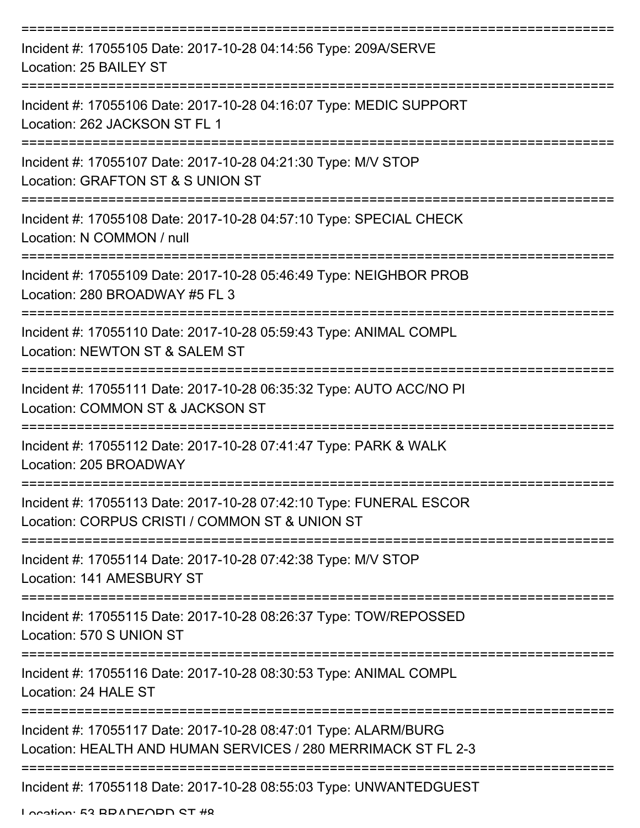| Incident #: 17055105 Date: 2017-10-28 04:14:56 Type: 209A/SERVE<br>Location: 25 BAILEY ST                                        |
|----------------------------------------------------------------------------------------------------------------------------------|
| Incident #: 17055106 Date: 2017-10-28 04:16:07 Type: MEDIC SUPPORT<br>Location: 262 JACKSON ST FL 1                              |
| Incident #: 17055107 Date: 2017-10-28 04:21:30 Type: M/V STOP<br>Location: GRAFTON ST & S UNION ST                               |
| Incident #: 17055108 Date: 2017-10-28 04:57:10 Type: SPECIAL CHECK<br>Location: N COMMON / null                                  |
| Incident #: 17055109 Date: 2017-10-28 05:46:49 Type: NEIGHBOR PROB<br>Location: 280 BROADWAY #5 FL 3                             |
| Incident #: 17055110 Date: 2017-10-28 05:59:43 Type: ANIMAL COMPL<br>Location: NEWTON ST & SALEM ST                              |
| Incident #: 17055111 Date: 2017-10-28 06:35:32 Type: AUTO ACC/NO PI<br>Location: COMMON ST & JACKSON ST                          |
| Incident #: 17055112 Date: 2017-10-28 07:41:47 Type: PARK & WALK<br>Location: 205 BROADWAY                                       |
| Incident #: 17055113 Date: 2017-10-28 07:42:10 Type: FUNERAL ESCOR<br>Location: CORPUS CRISTI / COMMON ST & UNION ST             |
| Incident #: 17055114 Date: 2017-10-28 07:42:38 Type: M/V STOP<br>Location: 141 AMESBURY ST                                       |
| Incident #: 17055115 Date: 2017-10-28 08:26:37 Type: TOW/REPOSSED<br>Location: 570 S UNION ST                                    |
| Incident #: 17055116 Date: 2017-10-28 08:30:53 Type: ANIMAL COMPL<br>Location: 24 HALE ST                                        |
| Incident #: 17055117 Date: 2017-10-28 08:47:01 Type: ALARM/BURG<br>Location: HEALTH AND HUMAN SERVICES / 280 MERRIMACK ST FL 2-3 |
| Incident #: 17055118 Date: 2017-10-28 08:55:03 Type: UNWANTEDGUEST                                                               |

Location: E2 BDANEADN CT #9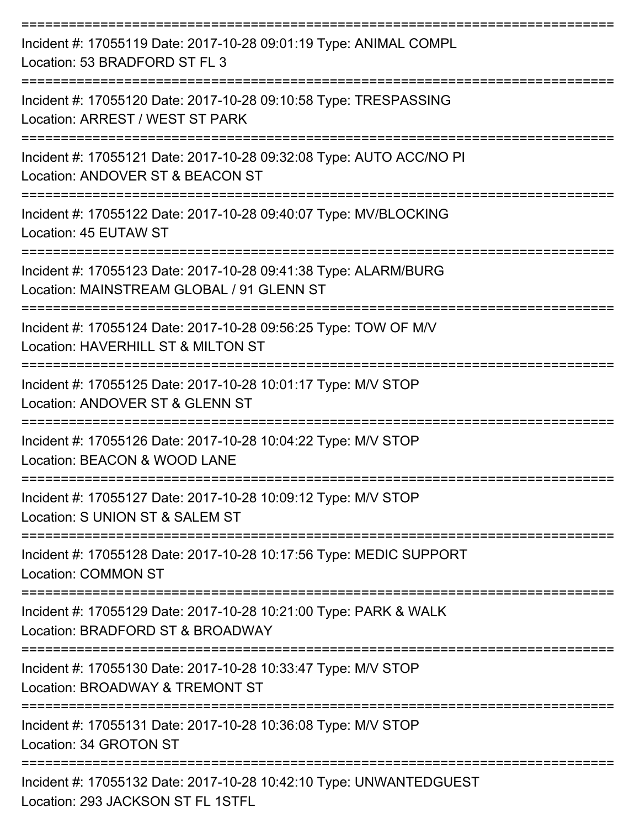| Incident #: 17055119 Date: 2017-10-28 09:01:19 Type: ANIMAL COMPL<br>Location: 53 BRADFORD ST FL 3           |
|--------------------------------------------------------------------------------------------------------------|
| Incident #: 17055120 Date: 2017-10-28 09:10:58 Type: TRESPASSING<br>Location: ARREST / WEST ST PARK          |
| Incident #: 17055121 Date: 2017-10-28 09:32:08 Type: AUTO ACC/NO PI<br>Location: ANDOVER ST & BEACON ST      |
| Incident #: 17055122 Date: 2017-10-28 09:40:07 Type: MV/BLOCKING<br>Location: 45 EUTAW ST                    |
| Incident #: 17055123 Date: 2017-10-28 09:41:38 Type: ALARM/BURG<br>Location: MAINSTREAM GLOBAL / 91 GLENN ST |
| Incident #: 17055124 Date: 2017-10-28 09:56:25 Type: TOW OF M/V<br>Location: HAVERHILL ST & MILTON ST        |
| Incident #: 17055125 Date: 2017-10-28 10:01:17 Type: M/V STOP<br>Location: ANDOVER ST & GLENN ST             |
| Incident #: 17055126 Date: 2017-10-28 10:04:22 Type: M/V STOP<br>Location: BEACON & WOOD LANE                |
| Incident #: 17055127 Date: 2017-10-28 10:09:12 Type: M/V STOP<br>Location: S UNION ST & SALEM ST             |
| Incident #: 17055128 Date: 2017-10-28 10:17:56 Type: MEDIC SUPPORT<br><b>Location: COMMON ST</b>             |
| Incident #: 17055129 Date: 2017-10-28 10:21:00 Type: PARK & WALK<br>Location: BRADFORD ST & BROADWAY         |
| Incident #: 17055130 Date: 2017-10-28 10:33:47 Type: M/V STOP<br>Location: BROADWAY & TREMONT ST             |
| Incident #: 17055131 Date: 2017-10-28 10:36:08 Type: M/V STOP<br>Location: 34 GROTON ST                      |
| Incident #: 17055132 Date: 2017-10-28 10:42:10 Type: UNWANTEDGUEST<br>Location: 293 JACKSON ST FL 1STFL      |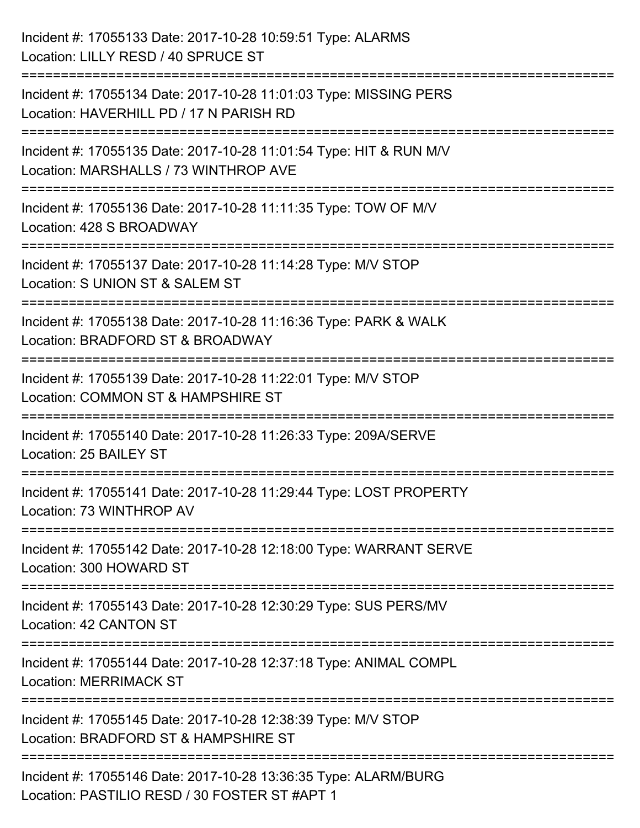| Incident #: 17055133 Date: 2017-10-28 10:59:51 Type: ALARMS<br>Location: LILLY RESD / 40 SPRUCE ST               |
|------------------------------------------------------------------------------------------------------------------|
| Incident #: 17055134 Date: 2017-10-28 11:01:03 Type: MISSING PERS<br>Location: HAVERHILL PD / 17 N PARISH RD     |
| Incident #: 17055135 Date: 2017-10-28 11:01:54 Type: HIT & RUN M/V<br>Location: MARSHALLS / 73 WINTHROP AVE      |
| Incident #: 17055136 Date: 2017-10-28 11:11:35 Type: TOW OF M/V<br>Location: 428 S BROADWAY                      |
| Incident #: 17055137 Date: 2017-10-28 11:14:28 Type: M/V STOP<br>Location: S UNION ST & SALEM ST                 |
| Incident #: 17055138 Date: 2017-10-28 11:16:36 Type: PARK & WALK<br>Location: BRADFORD ST & BROADWAY             |
| Incident #: 17055139 Date: 2017-10-28 11:22:01 Type: M/V STOP<br>Location: COMMON ST & HAMPSHIRE ST              |
| Incident #: 17055140 Date: 2017-10-28 11:26:33 Type: 209A/SERVE<br>Location: 25 BAILEY ST                        |
| Incident #: 17055141 Date: 2017-10-28 11:29:44 Type: LOST PROPERTY<br>Location: 73 WINTHROP AV                   |
| Incident #: 17055142 Date: 2017-10-28 12:18:00 Type: WARRANT SERVE<br>Location: 300 HOWARD ST                    |
| Incident #: 17055143 Date: 2017-10-28 12:30:29 Type: SUS PERS/MV<br>Location: 42 CANTON ST                       |
| Incident #: 17055144 Date: 2017-10-28 12:37:18 Type: ANIMAL COMPL<br><b>Location: MERRIMACK ST</b>               |
| Incident #: 17055145 Date: 2017-10-28 12:38:39 Type: M/V STOP<br>Location: BRADFORD ST & HAMPSHIRE ST            |
| Incident #: 17055146 Date: 2017-10-28 13:36:35 Type: ALARM/BURG<br>Location: PASTILIO RESD / 30 FOSTER ST #APT 1 |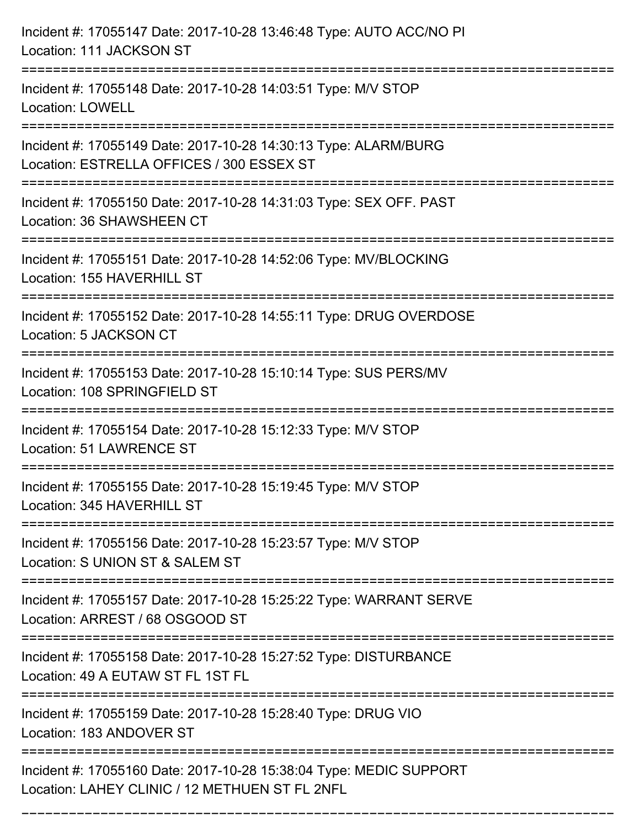| Incident #: 17055147 Date: 2017-10-28 13:46:48 Type: AUTO ACC/NO PI<br>Location: 111 JACKSON ST                          |
|--------------------------------------------------------------------------------------------------------------------------|
| Incident #: 17055148 Date: 2017-10-28 14:03:51 Type: M/V STOP<br><b>Location: LOWELL</b>                                 |
| Incident #: 17055149 Date: 2017-10-28 14:30:13 Type: ALARM/BURG<br>Location: ESTRELLA OFFICES / 300 ESSEX ST             |
| Incident #: 17055150 Date: 2017-10-28 14:31:03 Type: SEX OFF. PAST<br>Location: 36 SHAWSHEEN CT                          |
| Incident #: 17055151 Date: 2017-10-28 14:52:06 Type: MV/BLOCKING<br>Location: 155 HAVERHILL ST<br>====================== |
| Incident #: 17055152 Date: 2017-10-28 14:55:11 Type: DRUG OVERDOSE<br>Location: 5 JACKSON CT                             |
| Incident #: 17055153 Date: 2017-10-28 15:10:14 Type: SUS PERS/MV<br>Location: 108 SPRINGFIELD ST                         |
| Incident #: 17055154 Date: 2017-10-28 15:12:33 Type: M/V STOP<br><b>Location: 51 LAWRENCE ST</b>                         |
| Incident #: 17055155 Date: 2017-10-28 15:19:45 Type: M/V STOP<br>Location: 345 HAVERHILL ST                              |
| Incident #: 17055156 Date: 2017-10-28 15:23:57 Type: M/V STOP<br>Location: S UNION ST & SALEM ST                         |
| Incident #: 17055157 Date: 2017-10-28 15:25:22 Type: WARRANT SERVE<br>Location: ARREST / 68 OSGOOD ST                    |
| Incident #: 17055158 Date: 2017-10-28 15:27:52 Type: DISTURBANCE<br>Location: 49 A EUTAW ST FL 1ST FL                    |
| Incident #: 17055159 Date: 2017-10-28 15:28:40 Type: DRUG VIO<br>Location: 183 ANDOVER ST                                |
| Incident #: 17055160 Date: 2017-10-28 15:38:04 Type: MEDIC SUPPORT<br>Location: LAHEY CLINIC / 12 METHUEN ST FL 2NFL     |

===========================================================================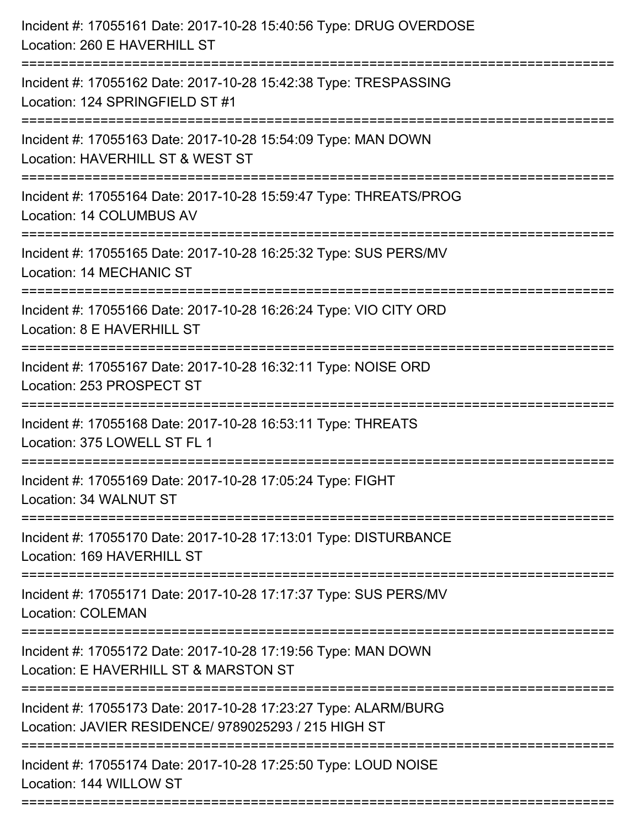| Incident #: 17055161 Date: 2017-10-28 15:40:56 Type: DRUG OVERDOSE<br>Location: 260 E HAVERHILL ST                           |
|------------------------------------------------------------------------------------------------------------------------------|
| --------------------<br>Incident #: 17055162 Date: 2017-10-28 15:42:38 Type: TRESPASSING<br>Location: 124 SPRINGFIELD ST #1  |
| Incident #: 17055163 Date: 2017-10-28 15:54:09 Type: MAN DOWN<br>Location: HAVERHILL ST & WEST ST<br>:====================== |
| Incident #: 17055164 Date: 2017-10-28 15:59:47 Type: THREATS/PROG<br>Location: 14 COLUMBUS AV                                |
| Incident #: 17055165 Date: 2017-10-28 16:25:32 Type: SUS PERS/MV<br>Location: 14 MECHANIC ST                                 |
| Incident #: 17055166 Date: 2017-10-28 16:26:24 Type: VIO CITY ORD<br>Location: 8 E HAVERHILL ST                              |
| Incident #: 17055167 Date: 2017-10-28 16:32:11 Type: NOISE ORD<br>Location: 253 PROSPECT ST                                  |
| Incident #: 17055168 Date: 2017-10-28 16:53:11 Type: THREATS<br>Location: 375 LOWELL ST FL 1                                 |
| Incident #: 17055169 Date: 2017-10-28 17:05:24 Type: FIGHT<br>Location: 34 WALNUT ST                                         |
| Incident #: 17055170 Date: 2017-10-28 17:13:01 Type: DISTURBANCE<br>Location: 169 HAVERHILL ST                               |
| =========================<br>Incident #: 17055171 Date: 2017-10-28 17:17:37 Type: SUS PERS/MV<br><b>Location: COLEMAN</b>    |
| Incident #: 17055172 Date: 2017-10-28 17:19:56 Type: MAN DOWN<br>Location: E HAVERHILL ST & MARSTON ST                       |
| Incident #: 17055173 Date: 2017-10-28 17:23:27 Type: ALARM/BURG<br>Location: JAVIER RESIDENCE/ 9789025293 / 215 HIGH ST      |
| Incident #: 17055174 Date: 2017-10-28 17:25:50 Type: LOUD NOISE<br>Location: 144 WILLOW ST                                   |
|                                                                                                                              |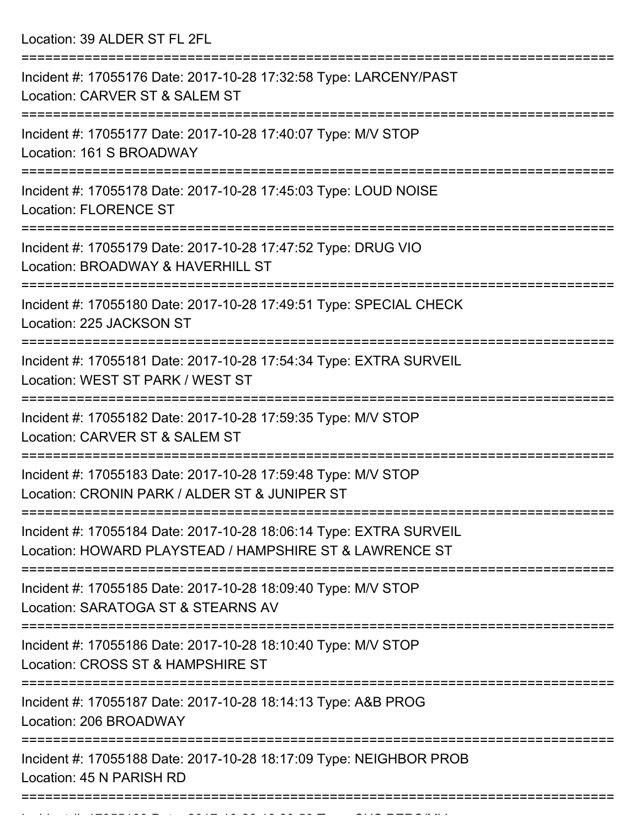Location: 39 ALDER ST FL 2FL

| Incident #: 17055176 Date: 2017-10-28 17:32:58 Type: LARCENY/PAST<br>Location: CARVER ST & SALEM ST                           |
|-------------------------------------------------------------------------------------------------------------------------------|
| Incident #: 17055177 Date: 2017-10-28 17:40:07 Type: M/V STOP<br>Location: 161 S BROADWAY                                     |
| Incident #: 17055178 Date: 2017-10-28 17:45:03 Type: LOUD NOISE<br><b>Location: FLORENCE ST</b>                               |
| Incident #: 17055179 Date: 2017-10-28 17:47:52 Type: DRUG VIO<br>Location: BROADWAY & HAVERHILL ST                            |
| Incident #: 17055180 Date: 2017-10-28 17:49:51 Type: SPECIAL CHECK<br>Location: 225 JACKSON ST                                |
| Incident #: 17055181 Date: 2017-10-28 17:54:34 Type: EXTRA SURVEIL<br>Location: WEST ST PARK / WEST ST                        |
| Incident #: 17055182 Date: 2017-10-28 17:59:35 Type: M/V STOP<br>Location: CARVER ST & SALEM ST                               |
| Incident #: 17055183 Date: 2017-10-28 17:59:48 Type: M/V STOP<br>Location: CRONIN PARK / ALDER ST & JUNIPER ST                |
| Incident #: 17055184 Date: 2017-10-28 18:06:14 Type: EXTRA SURVEIL<br>Location: HOWARD PLAYSTEAD / HAMPSHIRE ST & LAWRENCE ST |
| Incident #: 17055185 Date: 2017-10-28 18:09:40 Type: M/V STOP<br>Location: SARATOGA ST & STEARNS AV                           |
| Incident #: 17055186 Date: 2017-10-28 18:10:40 Type: M/V STOP<br>Location: CROSS ST & HAMPSHIRE ST                            |
| Incident #: 17055187 Date: 2017-10-28 18:14:13 Type: A&B PROG<br>Location: 206 BROADWAY                                       |
| Incident #: 17055188 Date: 2017-10-28 18:17:09 Type: NEIGHBOR PROB<br>Location: 45 N PARISH RD                                |
|                                                                                                                               |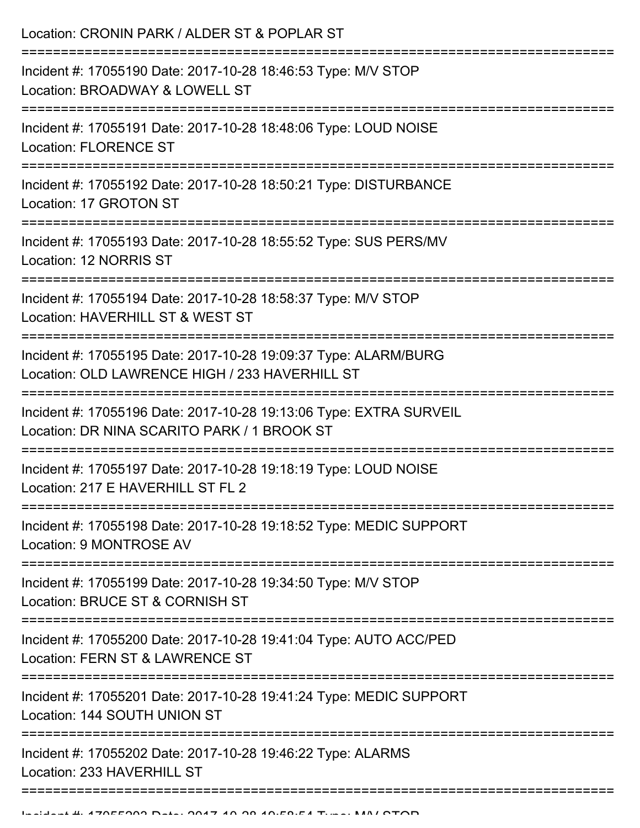Location: CRONIN PARK / ALDER ST & POPLAR ST =========================================================================== Incident #: 17055190 Date: 2017-10-28 18:46:53 Type: M/V STOP Location: BROADWAY & LOWELL ST =========================================================================== Incident #: 17055191 Date: 2017-10-28 18:48:06 Type: LOUD NOISE Location: FLORENCE ST =========================================================================== Incident #: 17055192 Date: 2017-10-28 18:50:21 Type: DISTURBANCE Location: 17 GROTON ST =========================================================================== Incident #: 17055193 Date: 2017-10-28 18:55:52 Type: SUS PERS/MV Location: 12 NORRIS ST =========================================================================== Incident #: 17055194 Date: 2017-10-28 18:58:37 Type: M/V STOP Location: HAVERHILL ST & WEST ST =========================================================================== Incident #: 17055195 Date: 2017-10-28 19:09:37 Type: ALARM/BURG Location: OLD LAWRENCE HIGH / 233 HAVERHILL ST =========================================================================== Incident #: 17055196 Date: 2017-10-28 19:13:06 Type: EXTRA SURVEIL Location: DR NINA SCARITO PARK / 1 BROOK ST =========================================================================== Incident #: 17055197 Date: 2017-10-28 19:18:19 Type: LOUD NOISE Location: 217 E HAVERHILL ST FL 2 =========================================================================== Incident #: 17055198 Date: 2017-10-28 19:18:52 Type: MEDIC SUPPORT Location: 9 MONTROSE AV =========================================================================== Incident #: 17055199 Date: 2017-10-28 19:34:50 Type: M/V STOP Location: BRUCE ST & CORNISH ST =========================================================================== Incident #: 17055200 Date: 2017-10-28 19:41:04 Type: AUTO ACC/PED Location: FERN ST & LAWRENCE ST =========================================================================== Incident #: 17055201 Date: 2017-10-28 19:41:24 Type: MEDIC SUPPORT Location: 144 SOUTH UNION ST =========================================================================== Incident #: 17055202 Date: 2017-10-28 19:46:22 Type: ALARMS Location: 233 HAVERHILL ST ===========================================================================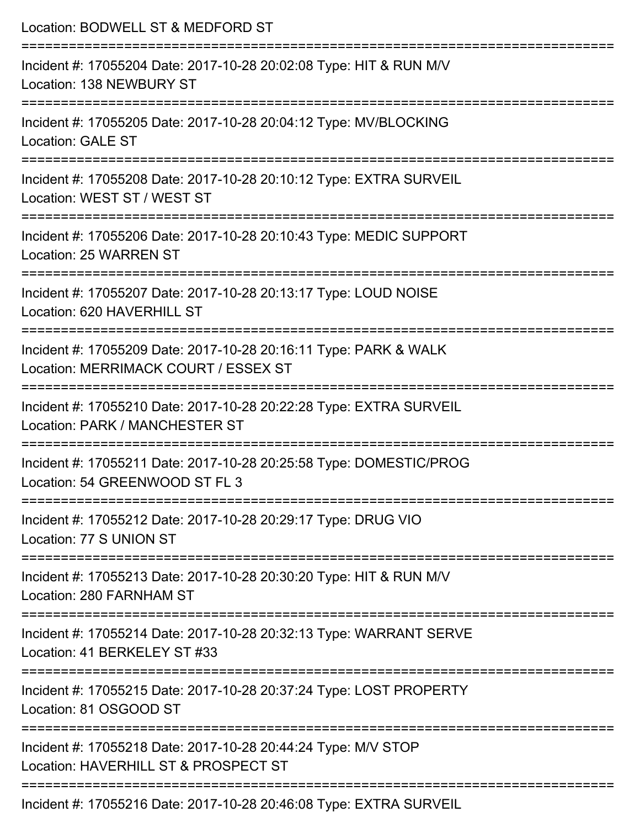| Location: BODWELL ST & MEDFORD ST                                                                                                                                    |
|----------------------------------------------------------------------------------------------------------------------------------------------------------------------|
| Incident #: 17055204 Date: 2017-10-28 20:02:08 Type: HIT & RUN M/V<br>Location: 138 NEWBURY ST                                                                       |
| Incident #: 17055205 Date: 2017-10-28 20:04:12 Type: MV/BLOCKING<br><b>Location: GALE ST</b>                                                                         |
| Incident #: 17055208 Date: 2017-10-28 20:10:12 Type: EXTRA SURVEIL<br>Location: WEST ST / WEST ST                                                                    |
| Incident #: 17055206 Date: 2017-10-28 20:10:43 Type: MEDIC SUPPORT<br>Location: 25 WARREN ST                                                                         |
| Incident #: 17055207 Date: 2017-10-28 20:13:17 Type: LOUD NOISE<br>Location: 620 HAVERHILL ST                                                                        |
| -------------------<br>---------------------------------<br>Incident #: 17055209 Date: 2017-10-28 20:16:11 Type: PARK & WALK<br>Location: MERRIMACK COURT / ESSEX ST |
| Incident #: 17055210 Date: 2017-10-28 20:22:28 Type: EXTRA SURVEIL<br>Location: PARK / MANCHESTER ST                                                                 |
| Incident #: 17055211 Date: 2017-10-28 20:25:58 Type: DOMESTIC/PROG<br>Location: 54 GREENWOOD ST FL 3                                                                 |
| Incident #: 17055212 Date: 2017-10-28 20:29:17 Type: DRUG VIO<br>Location: 77 S UNION ST                                                                             |
| =====================<br>Incident #: 17055213 Date: 2017-10-28 20:30:20 Type: HIT & RUN M/V<br>Location: 280 FARNHAM ST                                              |
| Incident #: 17055214 Date: 2017-10-28 20:32:13 Type: WARRANT SERVE<br>Location: 41 BERKELEY ST #33                                                                   |
| Incident #: 17055215 Date: 2017-10-28 20:37:24 Type: LOST PROPERTY<br>Location: 81 OSGOOD ST                                                                         |
| Incident #: 17055218 Date: 2017-10-28 20:44:24 Type: M/V STOP<br>Location: HAVERHILL ST & PROSPECT ST                                                                |
| Incident #: 17055216 Date: 2017-10-28 20:46:08 Type: EXTRA SURVEIL                                                                                                   |

Incident #: 17055216 Date: 2017-10-28 20:46:08 Type: EXTRA SURVEIL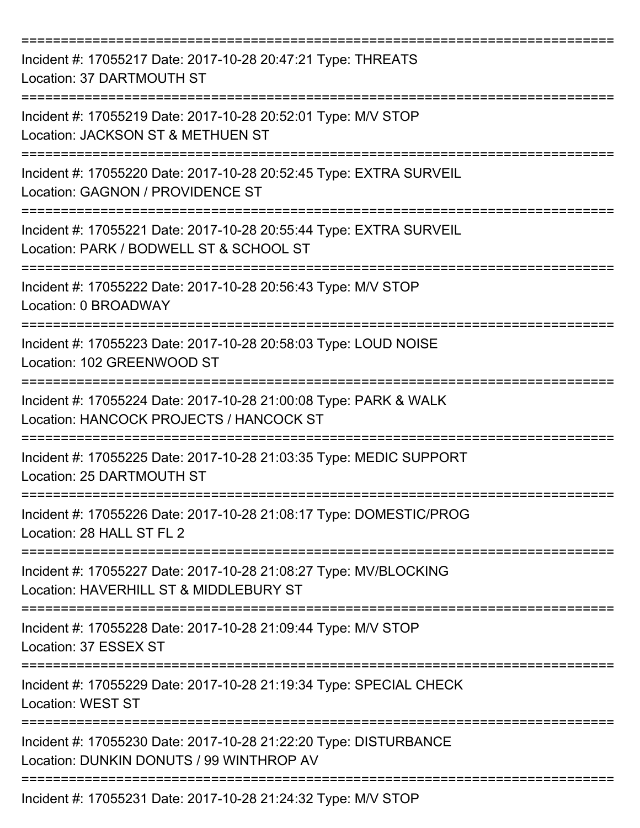| Incident #: 17055217 Date: 2017-10-28 20:47:21 Type: THREATS<br>Location: 37 DARTMOUTH ST                     |
|---------------------------------------------------------------------------------------------------------------|
| Incident #: 17055219 Date: 2017-10-28 20:52:01 Type: M/V STOP<br>Location: JACKSON ST & METHUEN ST            |
| Incident #: 17055220 Date: 2017-10-28 20:52:45 Type: EXTRA SURVEIL<br>Location: GAGNON / PROVIDENCE ST        |
| Incident #: 17055221 Date: 2017-10-28 20:55:44 Type: EXTRA SURVEIL<br>Location: PARK / BODWELL ST & SCHOOL ST |
| Incident #: 17055222 Date: 2017-10-28 20:56:43 Type: M/V STOP<br>Location: 0 BROADWAY                         |
| Incident #: 17055223 Date: 2017-10-28 20:58:03 Type: LOUD NOISE<br>Location: 102 GREENWOOD ST                 |
| Incident #: 17055224 Date: 2017-10-28 21:00:08 Type: PARK & WALK<br>Location: HANCOCK PROJECTS / HANCOCK ST   |
| Incident #: 17055225 Date: 2017-10-28 21:03:35 Type: MEDIC SUPPORT<br>Location: 25 DARTMOUTH ST               |
| Incident #: 17055226 Date: 2017-10-28 21:08:17 Type: DOMESTIC/PROG<br>Location: 28 HALL ST FL 2               |
| Incident #: 17055227 Date: 2017-10-28 21:08:27 Type: MV/BLOCKING<br>Location: HAVERHILL ST & MIDDLEBURY ST    |
| Incident #: 17055228 Date: 2017-10-28 21:09:44 Type: M/V STOP<br>Location: 37 ESSEX ST                        |
| Incident #: 17055229 Date: 2017-10-28 21:19:34 Type: SPECIAL CHECK<br><b>Location: WEST ST</b>                |
| Incident #: 17055230 Date: 2017-10-28 21:22:20 Type: DISTURBANCE<br>Location: DUNKIN DONUTS / 99 WINTHROP AV  |
| Incident #: 17055231 Date: 2017-10-28 21:24:32 Type: M/V STOP                                                 |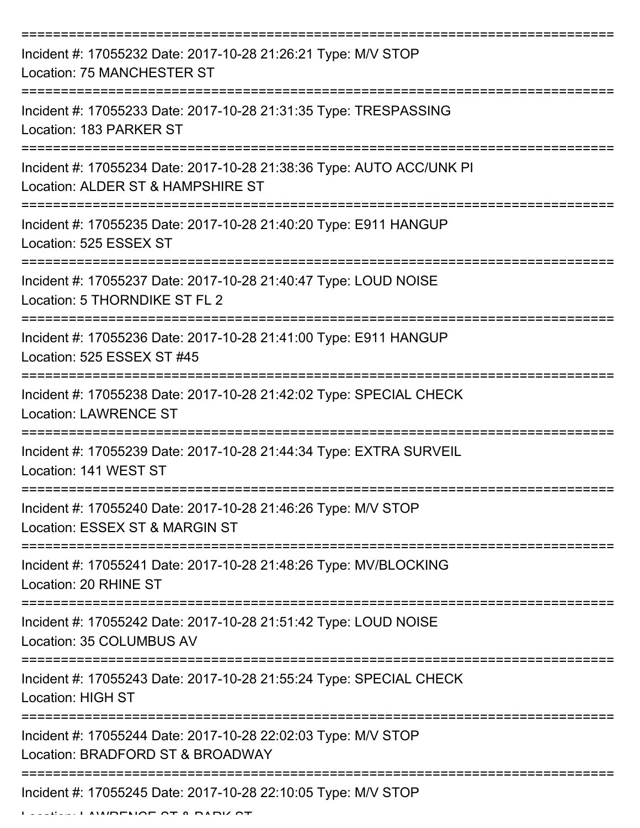| Incident #: 17055232 Date: 2017-10-28 21:26:21 Type: M/V STOP<br><b>Location: 75 MANCHESTER ST</b>                |
|-------------------------------------------------------------------------------------------------------------------|
| Incident #: 17055233 Date: 2017-10-28 21:31:35 Type: TRESPASSING<br>Location: 183 PARKER ST                       |
| Incident #: 17055234 Date: 2017-10-28 21:38:36 Type: AUTO ACC/UNK PI<br>Location: ALDER ST & HAMPSHIRE ST         |
| Incident #: 17055235 Date: 2017-10-28 21:40:20 Type: E911 HANGUP<br>Location: 525 ESSEX ST                        |
| Incident #: 17055237 Date: 2017-10-28 21:40:47 Type: LOUD NOISE<br>Location: 5 THORNDIKE ST FL 2                  |
| Incident #: 17055236 Date: 2017-10-28 21:41:00 Type: E911 HANGUP<br>Location: 525 ESSEX ST #45                    |
| Incident #: 17055238 Date: 2017-10-28 21:42:02 Type: SPECIAL CHECK<br><b>Location: LAWRENCE ST</b><br>=========== |
| Incident #: 17055239 Date: 2017-10-28 21:44:34 Type: EXTRA SURVEIL<br>Location: 141 WEST ST                       |
| Incident #: 17055240 Date: 2017-10-28 21:46:26 Type: M/V STOP<br>Location: ESSEX ST & MARGIN ST                   |
| Incident #: 17055241 Date: 2017-10-28 21:48:26 Type: MV/BLOCKING<br>Location: 20 RHINE ST                         |
| Incident #: 17055242 Date: 2017-10-28 21:51:42 Type: LOUD NOISE<br>Location: 35 COLUMBUS AV                       |
| Incident #: 17055243 Date: 2017-10-28 21:55:24 Type: SPECIAL CHECK<br><b>Location: HIGH ST</b>                    |
| Incident #: 17055244 Date: 2017-10-28 22:02:03 Type: M/V STOP<br>Location: BRADFORD ST & BROADWAY                 |
| Incident #: 17055245 Date: 2017-10-28 22:10:05 Type: M/V STOP                                                     |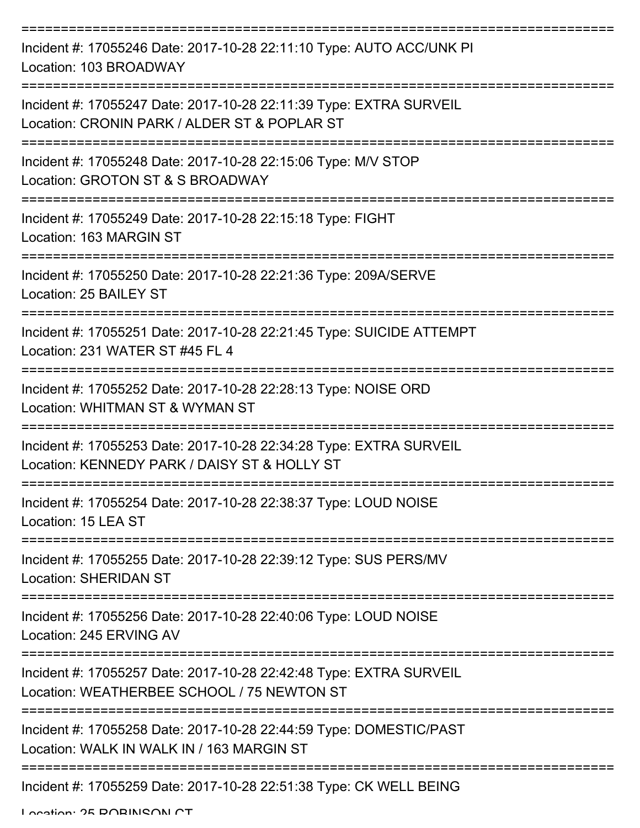| Incident #: 17055246 Date: 2017-10-28 22:11:10 Type: AUTO ACC/UNK PI<br>Location: 103 BROADWAY                           |
|--------------------------------------------------------------------------------------------------------------------------|
| Incident #: 17055247 Date: 2017-10-28 22:11:39 Type: EXTRA SURVEIL<br>Location: CRONIN PARK / ALDER ST & POPLAR ST       |
| Incident #: 17055248 Date: 2017-10-28 22:15:06 Type: M/V STOP<br>Location: GROTON ST & S BROADWAY                        |
| Incident #: 17055249 Date: 2017-10-28 22:15:18 Type: FIGHT<br>Location: 163 MARGIN ST                                    |
| Incident #: 17055250 Date: 2017-10-28 22:21:36 Type: 209A/SERVE<br>Location: 25 BAILEY ST                                |
| Incident #: 17055251 Date: 2017-10-28 22:21:45 Type: SUICIDE ATTEMPT<br>Location: 231 WATER ST #45 FL 4                  |
| Incident #: 17055252 Date: 2017-10-28 22:28:13 Type: NOISE ORD<br>Location: WHITMAN ST & WYMAN ST                        |
| Incident #: 17055253 Date: 2017-10-28 22:34:28 Type: EXTRA SURVEIL<br>Location: KENNEDY PARK / DAISY ST & HOLLY ST       |
| Incident #: 17055254 Date: 2017-10-28 22:38:37 Type: LOUD NOISE<br>Location: 15 LEA ST                                   |
| :===================<br>Incident #: 17055255 Date: 2017-10-28 22:39:12 Type: SUS PERS/MV<br><b>Location: SHERIDAN ST</b> |
| Incident #: 17055256 Date: 2017-10-28 22:40:06 Type: LOUD NOISE<br>Location: 245 ERVING AV                               |
| Incident #: 17055257 Date: 2017-10-28 22:42:48 Type: EXTRA SURVEIL<br>Location: WEATHERBEE SCHOOL / 75 NEWTON ST         |
| Incident #: 17055258 Date: 2017-10-28 22:44:59 Type: DOMESTIC/PAST<br>Location: WALK IN WALK IN / 163 MARGIN ST          |
| Incident #: 17055259 Date: 2017-10-28 22:51:38 Type: CK WELL BEING                                                       |

Location: 25 DORINICON CT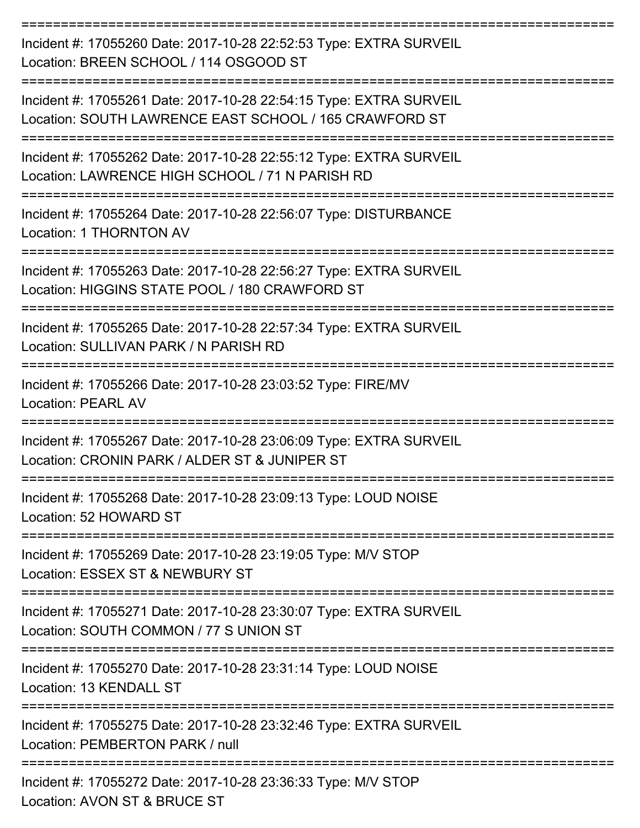=========================================================================== Incident #: 17055260 Date: 2017-10-28 22:52:53 Type: EXTRA SURVEIL Location: BREEN SCHOOL / 114 OSGOOD ST =========================================================================== Incident #: 17055261 Date: 2017-10-28 22:54:15 Type: EXTRA SURVEIL Location: SOUTH LAWRENCE EAST SCHOOL / 165 CRAWFORD ST =========================================================================== Incident #: 17055262 Date: 2017-10-28 22:55:12 Type: EXTRA SURVEIL Location: LAWRENCE HIGH SCHOOL / 71 N PARISH RD =========================================================================== Incident #: 17055264 Date: 2017-10-28 22:56:07 Type: DISTURBANCE Location: 1 THORNTON AV =========================================================================== Incident #: 17055263 Date: 2017-10-28 22:56:27 Type: EXTRA SURVEIL Location: HIGGINS STATE POOL / 180 CRAWFORD ST =========================================================================== Incident #: 17055265 Date: 2017-10-28 22:57:34 Type: EXTRA SURVEIL Location: SULLIVAN PARK / N PARISH RD =========================================================================== Incident #: 17055266 Date: 2017-10-28 23:03:52 Type: FIRE/MV Location: PEARL AV =========================================================================== Incident #: 17055267 Date: 2017-10-28 23:06:09 Type: EXTRA SURVEIL Location: CRONIN PARK / ALDER ST & JUNIPER ST =========================================================================== Incident #: 17055268 Date: 2017-10-28 23:09:13 Type: LOUD NOISE Location: 52 HOWARD ST =========================================================================== Incident #: 17055269 Date: 2017-10-28 23:19:05 Type: M/V STOP Location: ESSEX ST & NEWBURY ST =========================================================================== Incident #: 17055271 Date: 2017-10-28 23:30:07 Type: EXTRA SURVEIL Location: SOUTH COMMON / 77 S UNION ST =========================================================================== Incident #: 17055270 Date: 2017-10-28 23:31:14 Type: LOUD NOISE Location: 13 KENDALL ST =========================================================================== Incident #: 17055275 Date: 2017-10-28 23:32:46 Type: EXTRA SURVEIL Location: PEMBERTON PARK / null =========================================================================== Incident #: 17055272 Date: 2017-10-28 23:36:33 Type: M/V STOP Location: AVON ST & BRUCE ST